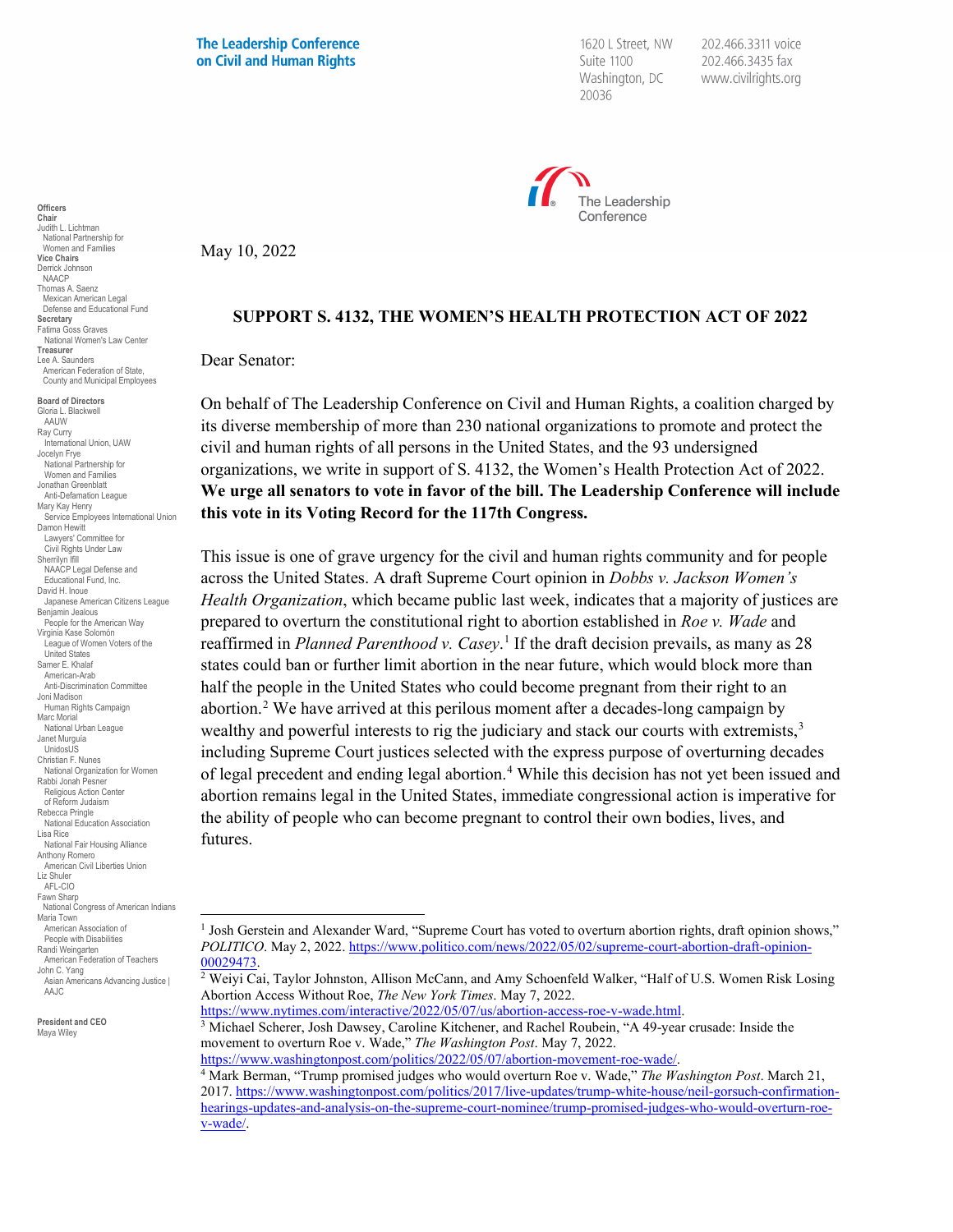**The Leadership Conference** on Civil and Human Rights

1620 L Street, NW Suite 1100 Washington, DC 20036

202.466.3311 voice 202.466.3435 fax www.civilrights.org



May 10, 2022

## **SUPPORT S. 4132, THE WOMEN'S HEALTH PROTECTION ACT OF 2022**

Dear Senator:

On behalf of The Leadership Conference on Civil and Human Rights, a coalition charged by its diverse membership of more than 230 national organizations to promote and protect the civil and human rights of all persons in the United States, and the 93 undersigned organizations, we write in support of S. 4132, the Women's Health Protection Act of 2022. **We urge all senators to vote in favor of the bill. The Leadership Conference will include this vote in its Voting Record for the 117th Congress.**

This issue is one of grave urgency for the civil and human rights community and for people across the United States. A draft Supreme Court opinion in *Dobbs v. Jackson Women's Health Organization*, which became public last week, indicates that a majority of justices are prepared to overturn the constitutional right to abortion established in *Roe v. Wade* and reaffirmed in *Planned Parenthood v. Casey*. [1](#page-0-0) If the draft decision prevails, as many as 28 states could ban or further limit abortion in the near future, which would block more than half the people in the United States who could become pregnant from their right to an abortion.<sup>[2](#page-0-1)</sup> We have arrived at this perilous moment after a decades-long campaign by wealthy and powerful interests to rig the judiciary and stack our courts with extremists,<sup>[3](#page-0-2)</sup> including Supreme Court justices selected with the express purpose of overturning decades of legal precedent and ending legal abortion.[4](#page-0-3) While this decision has not yet been issued and abortion remains legal in the United States, immediate congressional action is imperative for the ability of people who can become pregnant to control their own bodies, lives, and futures.

 $3$  Michael Scherer, Josh Dawsey, Caroline Kitchener, and Rachel Roubein, "A 49-year crusade: Inside the movement to overturn Roe v. Wade," *The Washington Post*. May 7, 2022.<br>https://www.washingtonpost.com/politics/2022/05/07/abortion-movement-roe-wade/.

**Chair** Judith L. Lichtman National Partnership for Women and Families **Vice Chairs** Derrick Johnson NAACP Thomas A. Saenz Mexican American Legal Defense and Educational Fund **Secretary** Fatima Goss Graves National Women's Law Center **Treasurer** Lee A. Saunders American Federation of State, County and Municipal Employees **Board of Directors**

**Officers**

Gloria L. Blackwell **AAUW** Ray Curry International Union, UAW Jocelyn Frye National Partnership for Women and Families Jonathan Greenblatt Anti-Defamation League Mary Kay Henry Service Employees International Union Damon Hewitt Lawyers' Committee for Civil Rights Under Law Sherrilyn Ifill NAACP Legal Defense and Educational Fund, Inc. David H. Inoue Japanese American Citizens League Benjamin Jealous People for the American Way Virginia Kase Solomón League of Women Voters of the United States Samer E. Khala American-Arab Anti-Discrimination Committee Joni Madison Human Rights Campaign Marc Morial National Urban League Janet Murguía UnidosUS Christian F. Nunes National Organization for Women Rabbi Jonah Pesner Religious Action Center of Reform Judaism Rebecca Pringle National Education Association Lisa Rice National Fair Housing Alliance Anthony Romero American Civil Liberties Union Liz Shuler AFL-CIO Fawn Sharr National Congress of American Indians Maria Town American Association of People with Disabilities Randi Weingarten American Federation of Teachers John C. Yang Asian Americans Advancing Justice | AA.IC

<span id="page-0-3"></span><span id="page-0-2"></span><span id="page-0-1"></span><span id="page-0-0"></span>**President and CEO** Maya Wiley

<sup>&</sup>lt;sup>1</sup> Josh Gerstein and Alexander Ward, "Supreme Court has voted to overturn abortion rights, draft opinion shows," *POLITICO*. May 2, 2022. https://www.politico.com/news/2022/05/02/supreme-court-abortion-draft-opinion-00029473

<sup>&</sup>lt;sup>2</sup> Weiyi Cai, Taylor Johnston, Allison McCann, and Amy Schoenfeld Walker, "Half of U.S. Women Risk Losing Abortion Access Without Roe, *The New York Times*. May 7, 2022.

<sup>&</sup>lt;sup>4</sup> Mark Berman, "Trump promised judges who would overturn Roe v. Wade," *The Washington Post*. March 21, 2017[. https://www.washingtonpost.com/politics/2017/live-updates/trump-white-house/neil-gorsuch-confirmation](https://www.washingtonpost.com/politics/2017/live-updates/trump-white-house/neil-gorsuch-confirmation-hearings-updates-and-analysis-on-the-supreme-court-nominee/trump-promised-judges-who-would-overturn-roe-v-wade/)[hearings-updates-and-analysis-on-the-supreme-court-nominee/trump-promised-judges-who-would-overturn-roe](https://www.washingtonpost.com/politics/2017/live-updates/trump-white-house/neil-gorsuch-confirmation-hearings-updates-and-analysis-on-the-supreme-court-nominee/trump-promised-judges-who-would-overturn-roe-v-wade/)[v-wade/.](https://www.washingtonpost.com/politics/2017/live-updates/trump-white-house/neil-gorsuch-confirmation-hearings-updates-and-analysis-on-the-supreme-court-nominee/trump-promised-judges-who-would-overturn-roe-v-wade/)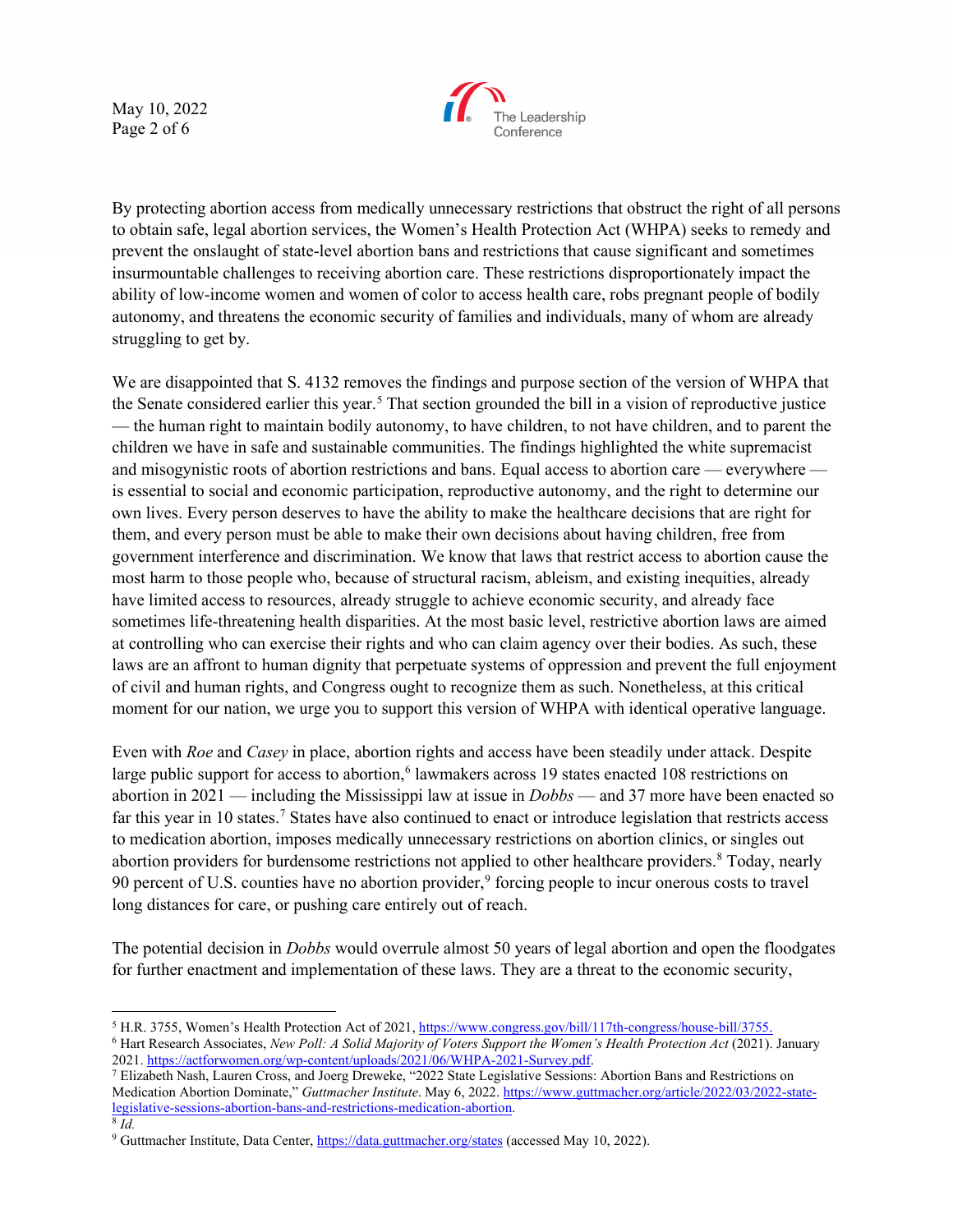May 10, 2022 Page 2 of 6



By protecting abortion access from medically unnecessary restrictions that obstruct the right of all persons to obtain safe, legal abortion services, the Women's Health Protection Act (WHPA) seeks to remedy and prevent the onslaught of state-level abortion bans and restrictions that cause significant and sometimes insurmountable challenges to receiving abortion care. These restrictions disproportionately impact the ability of low-income women and women of color to access health care, robs pregnant people of bodily autonomy, and threatens the economic security of families and individuals, many of whom are already struggling to get by.

We are disappointed that S. 4132 removes the findings and purpose section of the version of WHPA that the Senate considered earlier this year.<sup>[5](#page-1-0)</sup> That section grounded the bill in a vision of reproductive justice — the human right to maintain bodily autonomy, to have children, to not have children, and to parent the children we have in safe and sustainable communities. The findings highlighted the white supremacist and misogynistic roots of abortion restrictions and bans. Equal access to abortion care — everywhere is essential to social and economic participation, reproductive autonomy, and the right to determine our own lives. Every person deserves to have the ability to make the healthcare decisions that are right for them, and every person must be able to make their own decisions about having children, free from government interference and discrimination. We know that laws that restrict access to abortion cause the most harm to those people who, because of structural racism, ableism, and existing inequities, already have limited access to resources, already struggle to achieve economic security, and already face sometimes life-threatening health disparities. At the most basic level, restrictive abortion laws are aimed at controlling who can exercise their rights and who can claim agency over their bodies. As such, these laws are an affront to human dignity that perpetuate systems of oppression and prevent the full enjoyment of civil and human rights, and Congress ought to recognize them as such. Nonetheless, at this critical moment for our nation, we urge you to support this version of WHPA with identical operative language.

Even with *Roe* and *Casey* in place, abortion rights and access have been steadily under attack. Despite large public support for access to abortion,<sup>6</sup> lawmakers across 19 states enacted 108 restrictions on abortion in 2021 — including the Mississippi law at issue in *Dobbs* — and 37 more have been enacted so far this year in 10 states.[7](#page-1-2) States have also continued to enact or introduce legislation that restricts access to medication abortion, imposes medically unnecessary restrictions on abortion clinics, or singles out abortion providers for burdensome restrictions not applied to other healthcare providers.<sup>[8](#page-1-3)</sup> Today, nearly [9](#page-1-4)0 percent of U.S. counties have no abortion provider,<sup>9</sup> forcing people to incur onerous costs to travel long distances for care, or pushing care entirely out of reach.

The potential decision in *Dobbs* would overrule almost 50 years of legal abortion and open the floodgates for further enactment and implementation of these laws. They are a threat to the economic security,

<span id="page-1-1"></span><span id="page-1-0"></span><sup>&</sup>lt;sup>5</sup> H.R. 3755, Women's Health Protection Act of 2021[, https://www.congress.gov/bill/117th-congress/house-bill/3755.](https://www.congress.gov/bill/117th-congress/house-bill/3755)<br><sup>6</sup> Hart Research Associates, *New Poll: A Solid Majority of Voters Support the Women's Health Protection* 

<span id="page-1-2"></span><sup>&</sup>lt;sup>7</sup> Elizabeth Nash, Lauren Cross, and Joerg Dreweke, "2022 State Legislative Sessions: Abortion Bans and Restrictions on Medication Abortion Dominate," *Guttmacher Institute*. May 6, 2022[. https://www.guttmacher.org/article/2022/03/2022-state](https://www.guttmacher.org/article/2022/03/2022-state-legislative-sessions-abortion-bans-and-restrictions-medication-abortion)[legislative-sessions-abortion-bans-and-restrictions-medication-abortion.](https://www.guttmacher.org/article/2022/03/2022-state-legislative-sessions-abortion-bans-and-restrictions-medication-abortion) 8 *Id.*

<span id="page-1-4"></span><span id="page-1-3"></span><sup>&</sup>lt;sup>9</sup> Guttmacher Institute, Data Center[, https://data.guttmacher.org/states](https://data.guttmacher.org/states) (accessed May 10, 2022).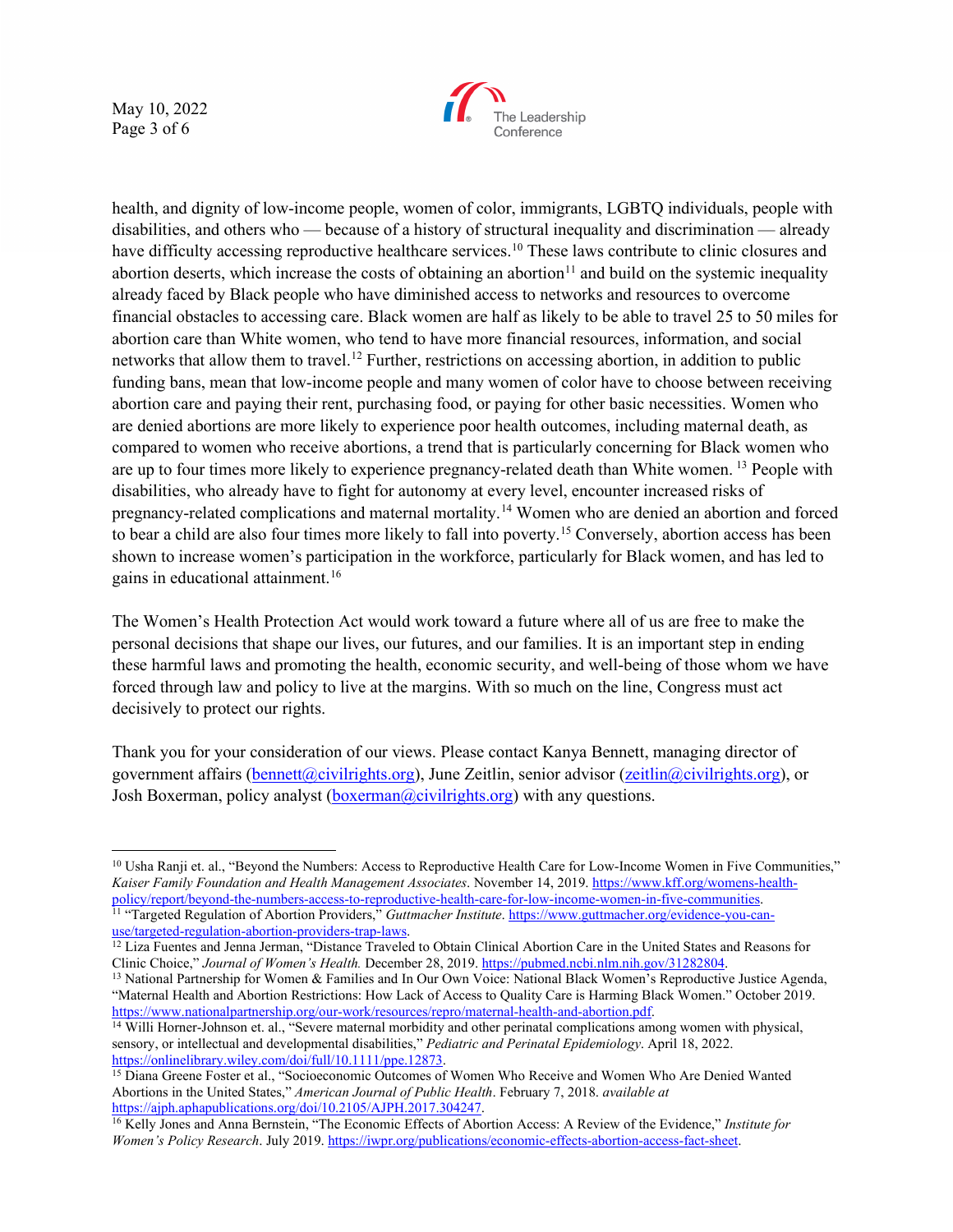May 10, 2022 Page 3 of 6



health, and dignity of low-income people, women of color, immigrants, LGBTQ individuals, people with disabilities, and others who — because of a history of structural inequality and discrimination — already have difficulty accessing reproductive healthcare services.<sup>[10](#page-2-0)</sup> These laws contribute to clinic closures and abortion deserts, which increase the costs of obtaining an abortion<sup>[11](#page-2-1)</sup> and build on the systemic inequality already faced by Black people who have diminished access to networks and resources to overcome financial obstacles to accessing care. Black women are half as likely to be able to travel 25 to 50 miles for abortion care than White women, who tend to have more financial resources, information, and social networks that allow them to travel.<sup>12</sup> Further, restrictions on accessing abortion, in addition to public funding bans, mean that low-income people and many women of color have to choose between receiving abortion care and paying their rent, purchasing food, or paying for other basic necessities. Women who are denied abortions are more likely to experience poor health outcomes, including maternal death, as compared to women who receive abortions, a trend that is particularly concerning for Black women who are up to four times more likely to experience pregnancy-related death than White women. [13](#page-2-3) People with disabilities, who already have to fight for autonomy at every level, encounter increased risks of pregnancy-related complications and maternal mortality.[14](#page-2-4) Women who are denied an abortion and forced to bear a child are also four times more likely to fall into poverty.[15](#page-2-5) Conversely, abortion access has been shown to increase women's participation in the workforce, particularly for Black women, and has led to gains in educational attainment[.16](#page-2-6)

The Women's Health Protection Act would work toward a future where all of us are free to make the personal decisions that shape our lives, our futures, and our families. It is an important step in ending these harmful laws and promoting the health, economic security, and well-being of those whom we have forced through law and policy to live at the margins. With so much on the line, Congress must act decisively to protect our rights.

Thank you for your consideration of our views. Please contact Kanya Bennett, managing director of government affairs [\(bennett@civilrights.org\)](mailto:bennett@civilrights.org), June Zeitlin, senior advisor [\(zeitlin@civilrights.org\)](mailto:zeitlin@civilrights.org), or Josh Boxerman, policy analyst [\(boxerman@civilrights.org\)](mailto:boxerman@civilrights.org) with any questions.

<span id="page-2-0"></span><sup>&</sup>lt;sup>10</sup> Usha Ranji et. al., "Beyond the Numbers: Access to Reproductive Health Care for Low-Income Women in Five Communities," *Kaiser Family Foundation and Health Management Associates*. November 14, 2019. [https://www.kff.org/womens-health](https://www.kff.org/womens-health-policy/report/beyond-the-numbers-access-to-reproductive-health-care-for-low-income-women-in-five-communities/)policy/report/beyond-the-numbers-access-to-reproductive-health-care-for-low-income-women-in-five-communities.<br><sup>11</sup> "Targeted Regulation of Abortion Providers," *Guttmacher Institute*. https://www.guttmacher.org/evidence-yo

<span id="page-2-2"></span><span id="page-2-1"></span><sup>&</sup>lt;sup>12</sup> Liza Fuentes and Jenna Jerman, "Distance Traveled to Obtain Clinical Abortion Care in the United States and Reasons for Clinic Choice," *Journal of Women's Health*. December 28, 2019. <u>https://pubmed.ncbi.nlm.nih.gov</u>

<span id="page-2-3"></span><sup>&</sup>lt;sup>13</sup> National Partnership for Women & Families and In Our Own Voice: National Black Women's Reproductive Justice Agenda, "Maternal Health and Abortion Restrictions: How Lack of Access to Quality Care is Harming Black Women." October 2019. [https://www.nationalpartnership.org/our-work/resources/repro/maternal-health-and-abortion.pdf.](https://www.nationalpartnership.org/our-work/resources/repro/maternal-health-and-abortion.pdf)

<span id="page-2-4"></span><sup>&</sup>lt;sup>14</sup> Willi Horner-Johnson et. al., "Severe maternal morbidity and other perinatal complications among women with physical, sensory, or intellectual and developmental disabilities," *Pediatric and Perinatal Epidemiology*. April 18, 2022.<br>https://onlinelibrary.wiley.com/doi/full/10.111/ppe.12873.

<span id="page-2-5"></span><sup>&</sup>lt;sup>15</sup> Diana Greene Foster et al., "Socioeconomic Outcomes of Women Who Receive and Women Who Are Denied Wanted Abortions in the United States," *American Journal of Public Health*. February 7, 2018. *available at* 

<span id="page-2-6"></span><sup>&</sup>lt;sup>16</sup> Kelly Jones and Anna Bernstein, "The Economic Effects of Abortion Access: A Review of the Evidence," *Institute for Women's Policy Research*. July 2019[. https://iwpr.org/publications/economic-effects-abortion-access-fact-sheet.](https://iwpr.org/publications/economic-effects-abortion-access-fact-sheet/)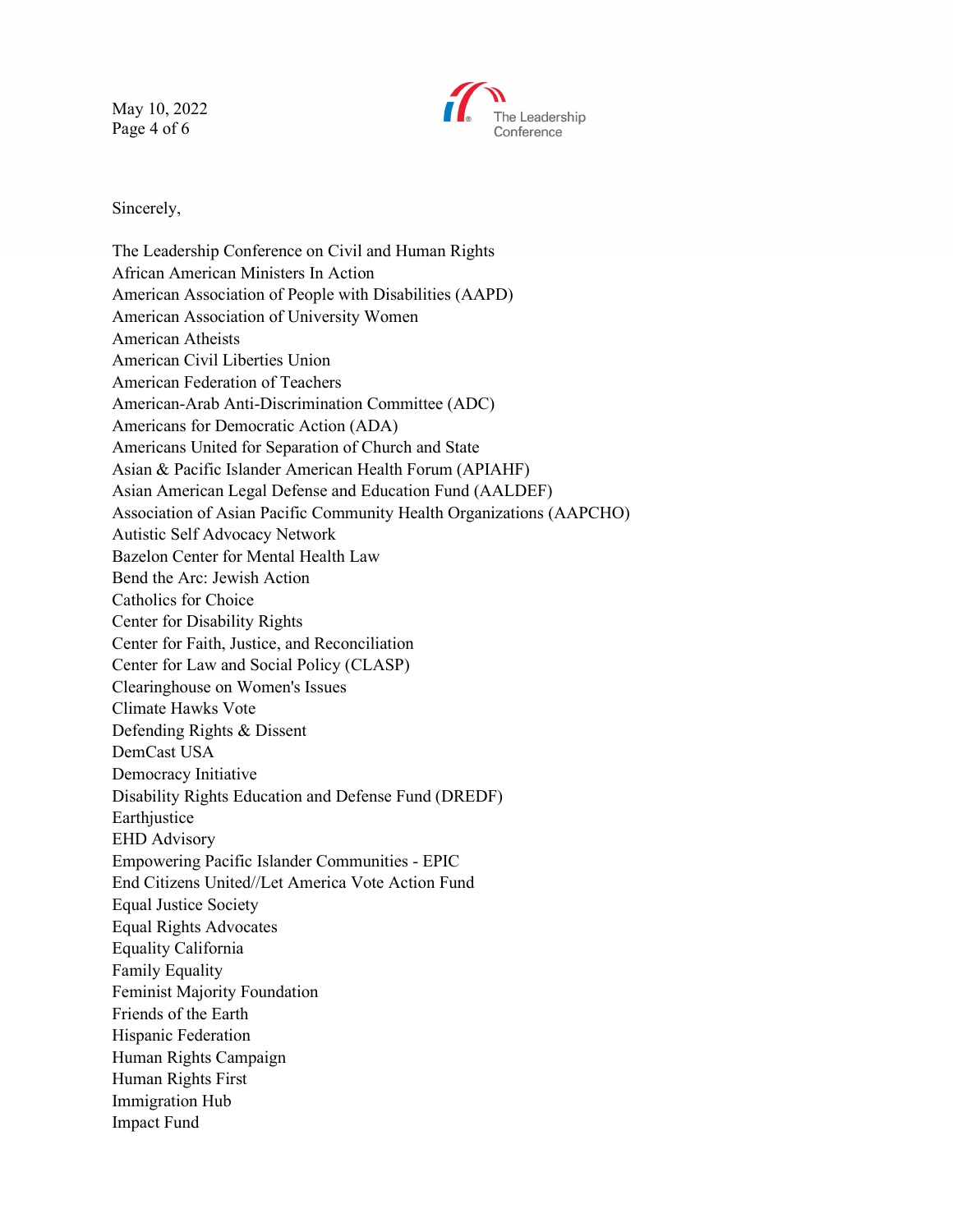May 10, 2022 Page 4 of 6



Sincerely,

The Leadership Conference on Civil and Human Rights African American Ministers In Action American Association of People with Disabilities (AAPD) American Association of University Women American Atheists American Civil Liberties Union American Federation of Teachers American-Arab Anti-Discrimination Committee (ADC) Americans for Democratic Action (ADA) Americans United for Separation of Church and State Asian & Pacific Islander American Health Forum (APIAHF) Asian American Legal Defense and Education Fund (AALDEF) Association of Asian Pacific Community Health Organizations (AAPCHO) Autistic Self Advocacy Network Bazelon Center for Mental Health Law Bend the Arc: Jewish Action Catholics for Choice Center for Disability Rights Center for Faith, Justice, and Reconciliation Center for Law and Social Policy (CLASP) Clearinghouse on Women's Issues Climate Hawks Vote Defending Rights & Dissent DemCast USA Democracy Initiative Disability Rights Education and Defense Fund (DREDF) Earthjustice EHD Advisory Empowering Pacific Islander Communities - EPIC End Citizens United//Let America Vote Action Fund Equal Justice Society Equal Rights Advocates Equality California Family Equality Feminist Majority Foundation Friends of the Earth Hispanic Federation Human Rights Campaign Human Rights First Immigration Hub Impact Fund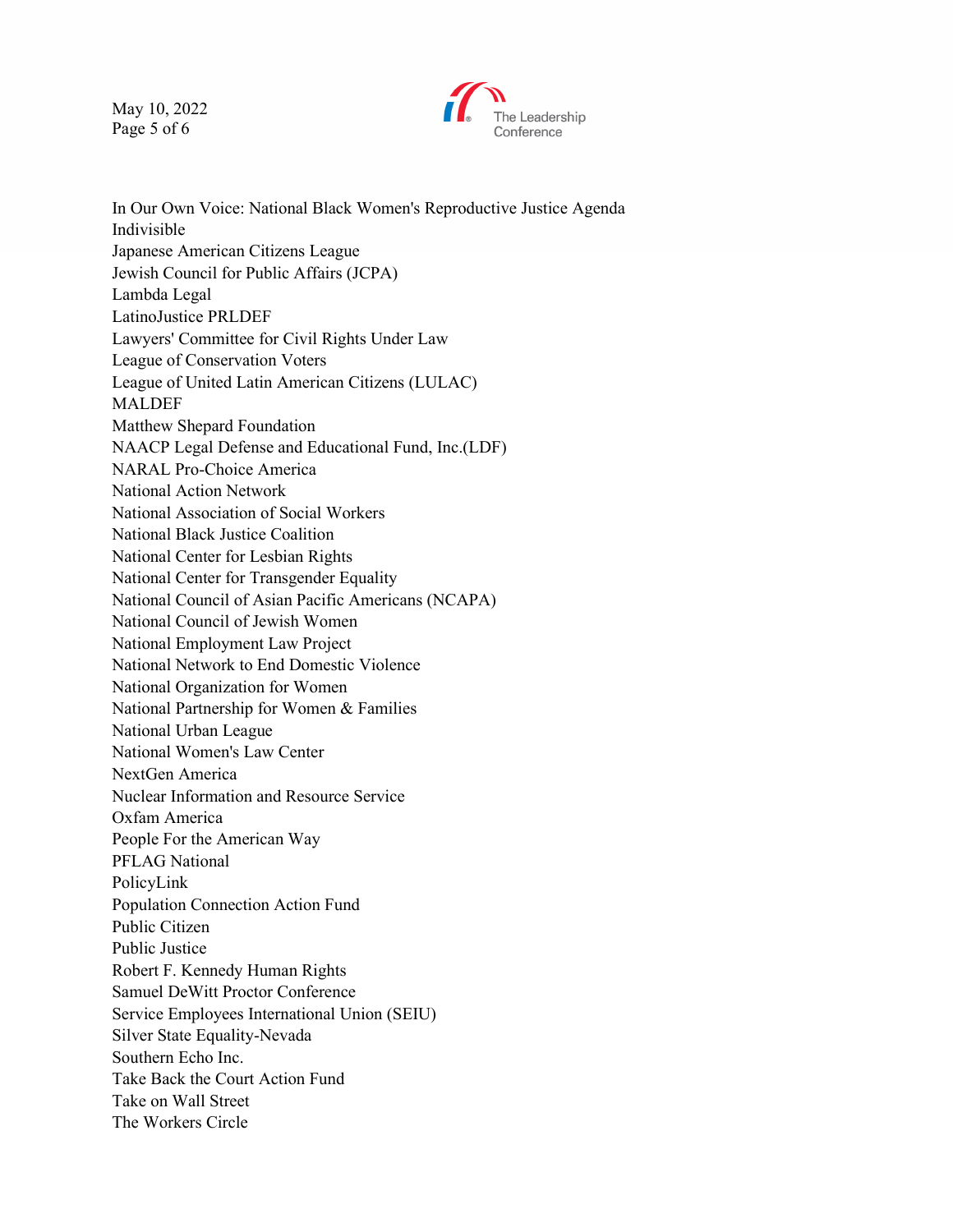May 10, 2022 Page 5 of 6



In Our Own Voice: National Black Women's Reproductive Justice Agenda Indivisible Japanese American Citizens League Jewish Council for Public Affairs (JCPA) Lambda Legal LatinoJustice PRLDEF Lawyers' Committee for Civil Rights Under Law League of Conservation Voters League of United Latin American Citizens (LULAC) MALDEF Matthew Shepard Foundation NAACP Legal Defense and Educational Fund, Inc.(LDF) NARAL Pro-Choice America National Action Network National Association of Social Workers National Black Justice Coalition National Center for Lesbian Rights National Center for Transgender Equality National Council of Asian Pacific Americans (NCAPA) National Council of Jewish Women National Employment Law Project National Network to End Domestic Violence National Organization for Women National Partnership for Women & Families National Urban League National Women's Law Center NextGen America Nuclear Information and Resource Service Oxfam America People For the American Way PFLAG National PolicyLink Population Connection Action Fund Public Citizen Public Justice Robert F. Kennedy Human Rights Samuel DeWitt Proctor Conference Service Employees International Union (SEIU) Silver State Equality-Nevada Southern Echo Inc. Take Back the Court Action Fund Take on Wall Street The Workers Circle